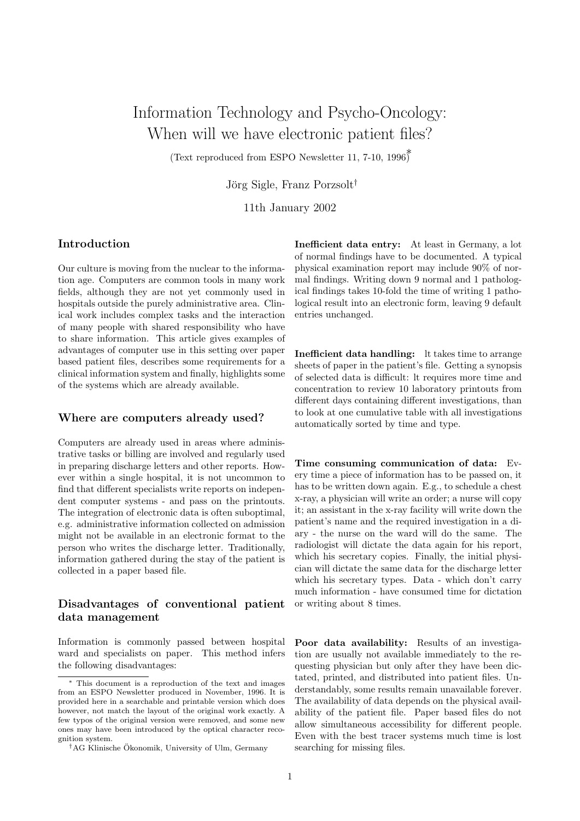# Information Technology and Psycho-Oncology: When will we have electronic patient files?

(Text reproduced from ESPO Newsletter 11, 7-10,  $1996^{\circ}$ )<sup>\*</sup>

Jörg Sigle, Franz Porzsolt<sup>†</sup>

11th January 2002

#### Introduction

Our culture is moving from the nuclear to the information age. Computers are common tools in many work fields, although they are not yet commonly used in hospitals outside the purely administrative area. Clinical work includes complex tasks and the interaction of many people with shared responsibility who have to share information. This article gives examples of advantages of computer use in this setting over paper based patient files, describes some requirements for a clinical information system and finally, highlights some of the systems which are already available.

#### Where are computers already used?

Computers are already used in areas where administrative tasks or billing are involved and regularly used in preparing discharge letters and other reports. However within a single hospital, it is not uncommon to find that different specialists write reports on independent computer systems - and pass on the printouts. The integration of electronic data is often suboptimal, e.g. administrative information collected on admission might not be available in an electronic format to the person who writes the discharge letter. Traditionally, information gathered during the stay of the patient is collected in a paper based file.

#### Disadvantages of conventional patient data management

Information is commonly passed between hospital ward and specialists on paper. This method infers the following disadvantages:

Inefficient data entry: At least in Germany, a lot of normal findings have to be documented. A typical physical examination report may include 90% of normal findings. Writing down 9 normal and 1 pathological findings takes 10-fold the time of writing 1 pathological result into an electronic form, leaving 9 default entries unchanged.

Inefficient data handling: lt takes time to arrange sheets of paper in the patient's file. Getting a synopsis of selected data is difficult: lt requires more time and concentration to review 10 laboratory printouts from different days containing different investigations, than to look at one cumulative table with all investigations automatically sorted by time and type.

Time consuming communication of data: Every time a piece of information has to be passed on, it has to be written down again. E.g., to schedule a chest x-ray, a physician will write an order; a nurse will copy it; an assistant in the x-ray facility will write down the patient's name and the required investigation in a diary - the nurse on the ward will do the same. The radiologist will dictate the data again for his report, which his secretary copies. Finally, the initial physician will dictate the same data for the discharge letter which his secretary types. Data - which don't carry much information - have consumed time for dictation or writing about 8 times.

Poor data availability: Results of an investigation are usually not available immediately to the requesting physician but only after they have been dictated, printed, and distributed into patient files. Understandably, some results remain unavailable forever. The availability of data depends on the physical availability of the patient file. Paper based files do not allow simultaneous accessibility for different people. Even with the best tracer systems much time is lost searching for missing files.

<sup>∗</sup> This document is a reproduction of the text and images from an ESPO Newsletter produced in November, 1996. It is provided here in a searchable and printable version which does however, not match the layout of the original work exactly. A few typos of the original version were removed, and some new ones may have been introduced by the optical character recognition system.

<sup>†</sup>AG Klinische Okonomik, University of Ulm, Germany ¨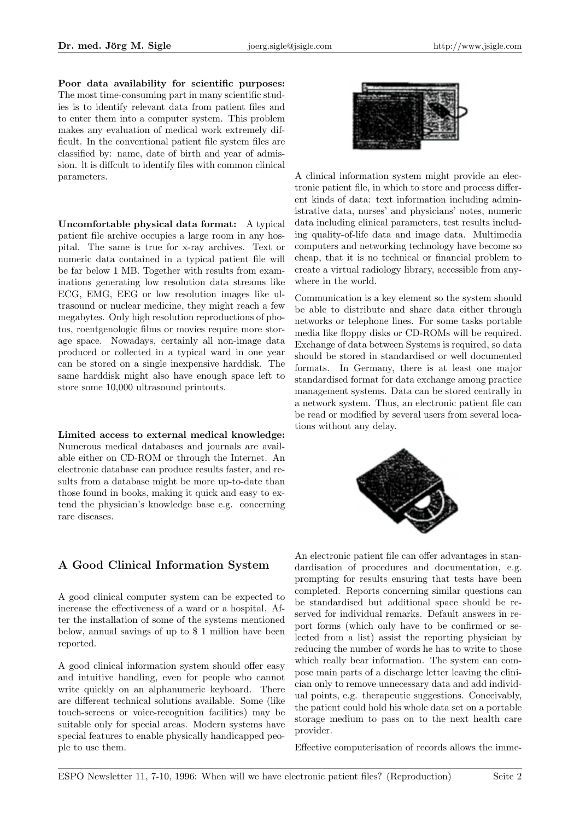Poor data availability for scientific purposes: The most time-consuming part in many scientific studies is to identify relevant data from patient files and to enter them into a computer system. This problem makes any evaluation of medical work extremely difficult. In the conventional patient file system files are classified by: name, date of birth and year of admission. lt is diffcult to identify files with common clinical parameters.

Uncomfortable physical data format: A typical patient file archive occupies a large room in any hospital. The same is true for x-ray archives. Text or numeric data contained in a typical patient file will be far below 1 MB. Together with results from examinations generating low resolution data streams like ECG, EMG, EEG or low resolution images like ultrasound or nuclear medicine, they might reach a few megabytes. Only high resolution reproductions of photos, roentgenologic films or movies require more storage space. Nowadays, certainly all non-image data produced or collected in a typical ward in one year can be stored on a single inexpensive harddisk. The same harddisk might also have enough space left to store some 10,000 ultrasound printouts.

Limited access to external medical knowledge: Numerous medical databases and journals are available either on CD-ROM or through the Internet. An electronic database can produce results faster, and results from a database might be more up-to-date than those found in books, making it quick and easy to extend the physician's knowledge base e.g. concerning rare diseases.

# A Good Clinical Information System

A good clinical computer system can be expected to inerease the effectiveness of a ward or a hospital. After the installation of some of the systems mentioned below, annual savings of up to \$ 1 million have been reported.

A good clinical information system should offer easy and intuitive handling, even for people who cannot write quickly on an alphanumeric keyboard. There are different technical solutions available. Some (like touch-screens or voice-recognition facilities) may be suitable only for special areas. Modern systems have special features to enable physically handicapped people to use them.



A clinical information system might provide an electronic patient file, in which to store and process different kinds of data: text information including administrative data, nurses' and physicians' notes, numeric data including clinical parameters, test results including quality-of-life data and image data. Multimedia computers and networking technology have become so cheap, that it is no technical or financial problem to create a virtual radiology library, accessible from anywhere in the world.

Communication is a key element so the system should be able to distribute and share data either through networks or telephone lines. For some tasks portable media like floppy disks or CD-ROMs will be required. Exchange of data between Systems is required, so data should be stored in standardised or well documented formats. In Germany, there is at least one major standardised format for data exchange among practice management systems. Data can be stored centrally in a network system. Thus, an electronic patient file can be read or modified by several users from several locations without any delay.



An electronic patient file can offer advantages in standardisation of procedures and documentation, e.g. prompting for results ensuring that tests have been completed. Reports concerning similar questions can be standardised but additional space should be reserved for individual remarks. Default answers in report forms (which only have to be confirmed or selected from a list) assist the reporting physician by reducing the number of words he has to write to those which really bear information. The system can compose main parts of a discharge letter leaving the clinician only to remove unnecessary data and add individual points, e.g. therapeutic suggestions. Conceivably, the patient could hold his whole data set on a portable storage medium to pass on to the next health care provider.

Effective computerisation of records allows the imme-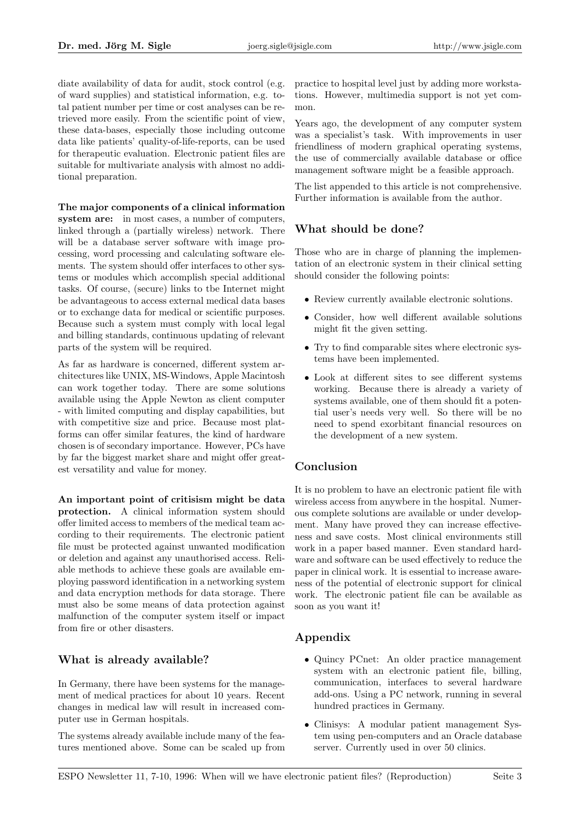diate availability of data for audit, stock control (e.g. of ward supplies) and statistical information, e.g. total patient number per time or cost analyses can be retrieved more easily. From the scientific point of view, these data-bases, especially those including outcome data like patients' quality-of-life-reports, can be used for therapeutic evaluation. Electronic patient files are suitable for multivariate analysis with almost no additional preparation.

The major components of a clinical information system are: in most cases, a number of computers, linked through a (partially wireless) network. There will be a database server software with image processing, word processing and calculating software elements. The system should offer interfaces to other systems or modules which accomplish special additional tasks. Of course, (secure) links to tbe Internet might be advantageous to access external medical data bases or to exchange data for medical or scientific purposes. Because such a system must comply with local legal and billing standards, continuous updating of relevant parts of the system will be required.

As far as hardware is concerned, different system architectures like UNIX, MS-Windows, Apple Macintosh can work together today. There are some solutions available using the Apple Newton as client computer - with limited computing and display capabilities, but with competitive size and price. Because most platforms can offer similar features, the kind of hardware chosen is of secondary importance. However, PCs have by far the biggest market share and might offer greatest versatility and value for money.

An important point of critisism might be data protection. A clinical information system should offer limited access to members of the medical team according to their requirements. The electronic patient file must be protected against unwanted modification or deletion and against any unauthorised access. Reliable methods to achieve these goals are available employing password identification in a networking system and data encryption methods for data storage. There must also be some means of data protection against malfunction of the computer system itself or impact from fire or other disasters.

### What is already available?

In Germany, there have been systems for the management of medical practices for about 10 years. Recent changes in medical law will result in increased computer use in German hospitals.

The systems already available include many of the features mentioned above. Some can be scaled up from practice to hospital level just by adding more workstations. However, multimedia support is not yet common.

Years ago, the development of any computer system was a specialist's task. With improvements in user friendliness of modern graphical operating systems, the use of commercially available database or office management software might be a feasible approach.

The list appended to this article is not comprehensive. Further information is available from the author.

# What should be done?

Those who are in charge of planning the implementation of an electronic system in their clinical setting should consider the following points:

- Review currently available electronic solutions.
- Consider, how well different available solutions might fit the given setting.
- Try to find comparable sites where electronic systems have been implemented.
- Look at different sites to see different systems working. Because there is already a variety of systems available, one of them should fit a potential user's needs very well. So there will be no need to spend exorbitant financial resources on the development of a new system.

# Conclusion

It is no problem to have an electronic patient file with wireless access from anywbere in the hospital. Numerous complete solutions are available or under development. Many have proved they can increase effectiveness and save costs. Most clinical environments still work in a paper based manner. Even standard hardware and software can be used effectively to reduce the paper in clinical work. lt is essential to increase awareness of the potential of electronic support for clinical work. The electronic patient file can be available as soon as you want it!

# Appendix

- Quincy PCnet: An older practice management system with an electronic patient file, billing, communication, interfaces to several hardware add-ons. Using a PC network, running in several hundred practices in Germany.
- Clinisys: A modular patient management System using pen-computers and an Oracle database server. Currently used in over 50 clinics.